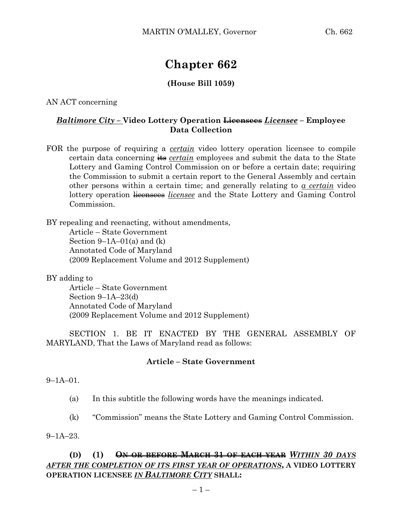# **Chapter 662**

# **(House Bill 1059)**

AN ACT concerning

## *Baltimore City –* **Video Lottery Operation Licensees** *Licensee* **– Employee Data Collection**

FOR the purpose of requiring a *certain* video lottery operation licensee to compile certain data concerning its *certain* employees and submit the data to the State Lottery and Gaming Control Commission on or before a certain date; requiring the Commission to submit a certain report to the General Assembly and certain other persons within a certain time; and generally relating to *a certain* video lottery operation licensees *licensee* and the State Lottery and Gaming Control Commission.

BY repealing and reenacting, without amendments,

Article – State Government Section  $9-1A-01(a)$  and  $(k)$ Annotated Code of Maryland (2009 Replacement Volume and 2012 Supplement)

#### BY adding to

Article – State Government Section 9–1A–23(d) Annotated Code of Maryland (2009 Replacement Volume and 2012 Supplement)

SECTION 1. BE IT ENACTED BY THE GENERAL ASSEMBLY OF MARYLAND, That the Laws of Maryland read as follows:

### **Article – State Government**

 $9-1A-01$ 

- (a) In this subtitle the following words have the meanings indicated.
- (k) "Commission" means the State Lottery and Gaming Control Commission.

9–1A–23.

# **(D) (1) ON OR BEFORE MARCH 31 OF EACH YEAR** *WITHIN 30 DAYS AFTER THE COMPLETION OF ITS FIRST YEAR OF OPERATIONS***, A VIDEO LOTTERY OPERATION LICENSEE** *IN BALTIMORE CITY* **SHALL:**